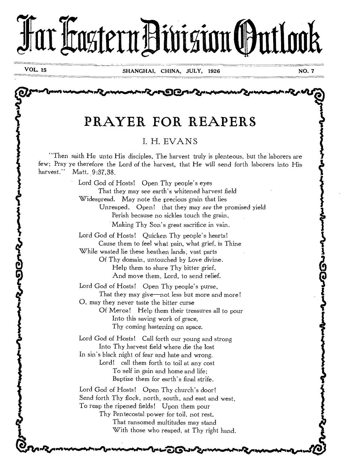# far Faztern Division (Øutlook

**VOL. 15** 

そうのでん

مسىدى تى بە

# PRAYER FOR REAPERS

## I. H. EVANS

''Then saith He unto His disciples, The harvest truly is plenteous, but the laborers are few; Pray ye therefore the Lord of the harvest, that He will send forth laborers into His harvest.'' Matt. 9:37.38.

> Lord God of Hosts! Open Thy people's eyes That they may see earth's whitened harvest field Widespread. May note the precious grain that lies Unreaped. Open! that they may see the promised yield Perish because no sickles touch the grain, Making Thy Son's great sacrifice in vain. Lord God of Hosts! Quicken Thy people's hearts! Cause them to feel what pain, what grief, is Thine While wasted lie these heathen lands, vast parts Of Thy domain, untouched by Love divine. Help them to share Thy bitter grief, And move them, Lord, to send relief. Lord God of Hosts! Open Thy people's purse, That they may give—not less but more and more! O, may they never taste the bitter curse Of Meroz! Help them their treasures all to pour Into this saving work of grace, Thy coming hastening on apace. Lord God of Hosts! Call forth our young and strong Into Thy harvest field where die the lost In sin's black night of fear and hate and wrong. Lord! call them forth to toil at any cost To self in gain and home and life; Baptize them for earth's final strife. Lord God of Hosts! Open Thy church's door!

Send forth Thy flock, north, south, and east and west, To reap the ripened fields! Upon them pour Thy Pentecostal power for toil, not rest.

That ransomed multitudes may stand With those who reaped, at Thy right hand.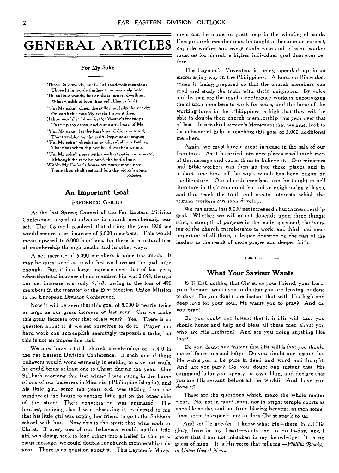#### For My Sake

Three little words, but full of tenderest meaning; Three little words the heart can scarcely hold ; The ee little words, but on their import dwelling, What wealth of love their syllables unfold! "For My sake" cheer the suffering, help the needy; On earth this was My work; I give it thee,

If thou would'st follow in thy Master's footsteps Take up thy cross, and come and learn of Me.

"For My sake" let the harsh word die unuttered, That trembles on the swift, impetuous tongue; "For My sake" check the quick, rebellious feeling

That rises when thy brother does thee wrong. "For My sake" press with steadfast patience onward,

Although the race be hard, the battle long.

Within My Father's house are many mansions; There thou shalt rest and join the victor's song. *—Selected.* 

## **An Important Goal**

## FREDERICK GRIGGS

At the last Spring Council of the Far Eastern Division Conference, a goal of advance in church membership was set. The Council resolved that during the year 1926 we would secure a net increase of 5,000 members. This would mean upward to 6,000 baptisms, for there is a natural loss of membership through deaths and in other ways.

A net increase of 5,000 members is none too much. It may be questioned as to whether we have set the goal large enough. But, it is a large increase over that of last year, when the total increase of our membership was 2,653, though our net increase was only 2,163, owing to the loss of 490 members in the transfer of the East Siberian Union Mission to the European Division Conference.

Now it will be seen that this goal of 5,000 is nearly twice as large as our gross increase of last year. Can we make this great increase over that of last year? Yes. There is no question about it if we set ourselves to do it. Prayer and hard work can accomplish seemingly impossible tasks, but this is not an impossible task.

We now have a total church membership of 17,410 in the Far Eastern Division Conference. If each one of these believers would work earnestly in seeking to save lost souls, he could bring at least one to Christ during the year. One Sabbath morning this last winter I was sitting in the home of one of our believers in Misamis, ( Philippine Islands), and his little girl, some ten years old, was talking from the window of the house to another little girl on the other side of the street. Their conversation was animated. The brother, noticing that I was observing it, explained to me that his little girl was urging her friend to go to the Sabbath school with her. Now this is the spirit that wins souls to Christ. If every one of our believers would, as this little girl was doing, seek to lead others into a belief in this precious message, we could double our church membership this year. There is no question about it. This Laymen's Movement can be made of great help in the winning of souls. Every church member must be taught to become an earnest, capable worker and every conference and mission worker must set for himself a higher individual goal than ever before.

The Laymen's Movenient is being speeded up in an encouraging way in the Philippines. A book on Bible doctrines is being prepared so that the church members can read and study the truth with their neighbors. By voice and by pen are the regular conference workers encouraging the church members to work for souls, and the hope of the working force in the Philippines is high that they will be able to double their church membership this year over that of last. It is to this Laymen's Movement that we must look to for substantial help in reaching this goal of 5,000 additional members.

Again, we must have a great increase in the sale of our literature. As it is carried into new places it will teach men of the message and cause them to believe it. Our ministers and Bible workers can then go into these places and in a short time bind off the work which has been begun by the literature. Our church members can be taught to sell literature in their communities and in neighboring villages, and thus teach the truth and create interests which the regular workers can soon develop.

We *can* attain this 5,000 net increased church membership goal. Whether we will or not depends upon three things: First, a strength of purpose in the leaders; second, the training of the church membership to work; and third, and most important of all three, a deeper devotion on the part of the leaders as the result of more prayer and deeper faith.

## **What Your Saviour Wants**

IS THERE nothing that Christ, as your Friend, your Lord, your Saviour, wants you to do that you are leaving undone to-day? Do you doubt one instant that with His high and deep love for your soul, He wants you to pray? And do you pray?

Do you doubt one instant that it is His will that you should honor and help and bless all these men about you who are His brethren? And *are* you doing anything like that?

Do you doubt one instant that His will is that you should make life serious and lofty? Do you doubt one instant that He wants you to be pure in deed and word and thought. And are you pure? Do you doubt one instant that His command is for you openly to own Him, and declare that you are His servant before all the world? And have you done it?

These are the questions which make the whole matter clear. No, not in quiet lanes, nor in bright temple courts as once He spake, and not from blazing heavens, as men sometimes seem to expect—not so does Christ speak to us.

And yet He speaks. I know what He—there in all His glory, here in my heart—wants me to do to-day, and I know that I am not mistaken in my knowledge. It is no guess of mine. It is His voice that tells me. - Phillips *Prooks*, *in Union Gospel News,*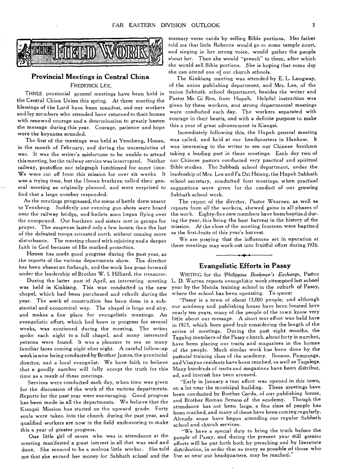

## **Provincial Meetings in Central China**  FREDERICK LEE.

THREE provincial general meetings have been held in the Central China Union this spring. At these meeting the blessings of the Lord have been manifest, and our workers and lay members who attended have returned to their homes with renewed courage and a determination to greatly hasten the message during this year. Courage, patience and hope were the keynotes sounded.

The first of the meetings was held at Yencheng, Honan, in the month of February, and during the uncertainties of war. It was the writer's misfortune to be unable to attend this meeting, for the railway service was interrupted. Neither railway, postoffice nor telegraph functioned for some time. We were cut off from this mission for over six weeks. It was a trying time, but the Honan brethren called their general meeting as originally planned, and were surprised to find that a large number responded.

As the meetings progressed, the scene of battle drew nearer to Yencheng. Suddenly one evening gun shots were heard near the railway bridge, and bullets soon began flying over the compound. Our brethren and sisters met in groups for prayer. The suspense lasted only a few hours; then the last of the defeated troops retreated north without causing more disturbance. The meeting closed with rejoicing and a deeper faith in God because of His marked protection.

Honan has made good progress during the past year, as the reports of the various departments show. The director has been absent on furlough, and the work has gone forward under the leadership of Brother W. I. Hilliard, the treasurer.

During the latter part of April, an interesting meeting was held in Kiukiang. This was conducted in the new chapel, which had been purchased and rebuilt during the year. The work of construction has been done in a substantial and economical way. The chapel is large and airy, and makes a fine place for evangelistic meetings. An evangelistic effort, which had been in progress for several weeks, was continued during the meeting. The writer spoke each night to a full chapel, and many interested persons were found. It was a pleasure to see so many familiar faces coming night after night. A careful follow-up work is now being conducted by Brother James, the provincial director, and a local evangelist. We have faith to believe that a goodly number will fully accept the truth for this time as a result of these meetings.

Services were conducted each day, when time was given for the discussion of the work of the various departments. Reports for the past year were encouraging. Good progress has been made in all the departments. We believe that the Kiangsi Mission has started on the upward grade. Forty souls were taken into the church during the past year, and qualified workers are now in the field endeavoring to make this a year of greater progress.

One little girl of seven who was in attendance at the meeting manifested a great interest in all that was said and done. She seemed to be a zealous little worker. She told me that she earned her money for Sabbath school and the live so near our headquarters, may be reached."

memory verse cards by selling Bible portions. Her father told me that little Rebecca would-go to some temple court, and singing in her strong voice, would gather the people about her. Then she would "preach" to them, after which she would sell Bible portions. She is hoping that some day she can attend one of our church schools.

The Kiukiang meeting was attended by E. L. Longway, of the union publishing department, and Mrs. Lee, of the union Sabbath school department, besides the writer and Pastor Mo Gi Ren, from Hupeh. Helpful instruction was given by these workers, and strong departmental meetings were conducted each day. The workers separated with courage in their hearts, and with a definite purpose to make this a year of great advancement in Kiangsi.

Immediately following this, the Hupeh general meeting was called, and held at our headquarters in Hankow. It was interesting to the writer to see our Chinese brethren taking a leading part in these meetings. Each day two of our Chinese pastors conducted very practical and spiritual Bible studies. The Sabbath school department, under the leadership of Mrs. Lee and Fa Dzi Hsiang, the Hupeh Sabbath school secretary, conducted four meetings, when practical suggestions were given for the conduct of our growing Sabbath school work.

The report of the director, Pastor Wearner, as well as reports from all the workers, showed gains in all phases of the work. Eighty-five new members have been baptized during the year, this being the best harvest in the history of the mission. At the close of the meeting fourteen were baptized as the first-fruits of this year's harvest.

We are praying that the influences set in operation at these meetings may work out into fruitful effort during 1926.

## **Evangelistic Efforts in Pasay**

WRITING for the *Philippine Bookmen's Exchange*, Pastor L. D. Warren reports evangelistic work attempted last school year by the Manila training school in the suburb of Pasay, where the school has been operating. To quote:

"Pasay is a town of about 13,000 people; and although our academy and publishing house have been located here nearly ten years, many of the people of the town know very little about our message. A short tent effort was held here in 1923, which bore good fruit considering the length of the series of meetings. During the past eight months, the Tagalog members of the Pasay church, about forty in number, have been placing our tracts and magazines in the homes of the people. Much similar work has been done by the pastoral training class of the academy. Ilocano, Pampanga, and Visayan residents have been reached, as well as Tagalogs. Many hundreds of tracts and magazines have been digtribut\_ ed, and interest has been aroused.

"Early in January a tent effort was opened in this town, on a lot near the municipal building. These meetings have been conducted by Brother Corda, of our publishing house, and Brother Roman Senson of the academy. Though the attendance has not been large, a fine class of people has been reached, and many of these have been coming regularly. Already some have begun attending our regular Sabbath school and church services.

"We have a special duty to bring the truth before the people of Pasay, and during the present year still greater efforts will be put forth both by preaching and by literature distribution, in order that as many as possible of those who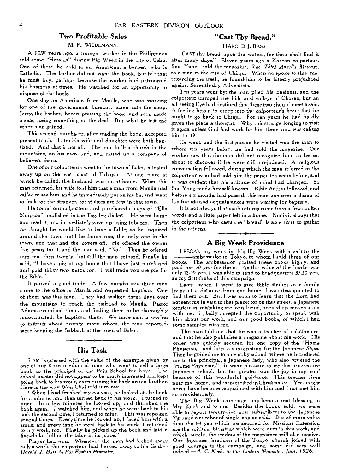## **Two** *Profitable* **Sales**

#### M. F. WIEDEMANN.

A FEW years ago, a foreign worker in the Philippines sold some "Heralds" during Big Week in the city of Cebu. One of these he sold to an American, a barber, who is Catholic. The barber did not want the book, but felt that he must buy, perhaps because the worker had patronized his business at times. He watched for an opportunity to dispose of the book.

One day an American from Manila, who was working for one of the government bureaus, came into the shop. Jerry, the barber, began *praising* the book, and soon made a sale, losing something on the deal. But what he lost the other man gained.

This second *purchaser, after* reading the book, accepted present truth. Later his wife and daughter were both baptized. And that is not all. The man built a church in the *mountains,* on his own land, and raised up a company of believers there.

One of our colporteurs went to the town of Baler, situated away up on the east coast of Tabayas. At one place at which he called, the husband was not at home. When this man returned, his wife told him that a man from Manila had called to see him, and he immediately put on his hat and went to look for the stranger, for visitors are few in that town.

He found our colporteur and purchased a copy of "Ella Simpson" published in the Tagalog dialect. He went home and read it, and immediately gave up using tobacco. Then he thought he would like to have a Bible; so he inquired around the town until he found one, the only one in the town, and that had the covers off. He offered the owner five pesos for it, and the man *said, "No."* Then he offered him ten, then twenty; but Still the man refused. Finally he said, "I have a pig at my home that I have just purchased and paid thirty-two pesos for. I will trade you the pig for the Bible."

It proved a good trade. A few months ago three men came to the office in Manila and requested baptism. One of them was this man. They had walked three days over the mountains to reach the railroad to Manila. Pastor Adams examined them, and finding them to be thoroughly indoctrinated, he baptized them. We have sent a worker to instruct about twenty more whom, the man reported, were keeping the Sabbath at the town of Baler.

## **His Task**

I AM impressed with the value of the example given by one of our Korean editorial men who went to sell a large<br>book to the principal of the Paju School for boys. The book to the principal of the Paju School for boys. school master did not appear to be much interested and kept going back to his work, even turning his back on our brother. Here is the way Won Chai told it to me:

"When I had finished my canvass, he looked at the book for a minute, and then turned back to his work. I turned to mine. In a few minutes he looked up, and thumbed the book again. I watched him, and when he went back to his task the second time, I returned to mine. This was repeated several times. Every time he looked up, I faced him with a smile; and every time he went back to his work, I returned to my work, too. Finally he picked up the book and laid a five-dollar bill on the table in its place.

Prayer had won. Whenever the man had looked away to his work, the colporteur had looked away to his God.— *Harold J. Bass. in Far Eastern Promoter.* 

## **"Cast Thy Bread."**

## HAROLD J. BASS.

"CAST thy bread upon the waters, for thou shalt find it after many days." Eleven years ago a Korean colporteur. Soo Yung, sold the magazine, *The Third Angel's Message*, to a man in the city of Chinju. When he spoke to this ma regarding the trath, he found him to be bitterly prejudiced against Seventh-day Adventists.

Ten years went by; the man plied his business, and the colporteur tramped the hills and valleys of Chosen; but an all-seeing Eye had destined that these two should meet again. A feeling began to creep *into* the colporteur's heart that he ought to go back to Chinju. For ten years he had hardly given the place a thought. Why this strange longing to visit it again unless God had work for him there, and was calling him to it?

He went, and the first person he visited was the man to whom ten years before he had sold the *magazine. Our*  worker saw that the man did not recognize him, so he set about to discover if he were gill prejudiced. A religious conversation followed, during which the man referred to the colporteur who had sold him the paper ten years before, and it was evident that his attitude of mind had changed. So Soo Yung made himself known. Bible Studies followed, and before six months had passed, this man and over a dozen of his friends and acquaintances were waiting for baptism.

It is not always that such returns come from a few spoken words and a little paper left in a home. Nor is it always that the colporteur who casts the "bread" is able thus to gather in the *returns.* 

## **A Big Week Providence**

I BEGAN my work in this Big Week with a visit to the ambassador in Tokyo, to whom I sold three of our books. The ambassador praised these books highly, and paid me 50 yen for them. As the value of the books was only 12.50 yen, I was able to send to headquarters 37.50 yen, as my first-fruits of this campaign.

Later, when I went to give Bible Studies to a *family*  living at a distance from our home, I was disappointed to find them out. But I was soon to learn that the Lord had not sent me in vain to that place; for on that street. a Japanese gentleman, mistaking me for a friend, opened up conversation with me. I gladly accepted the opportunity to speak with him about our work, and our good books, of which I had some samples with me.

The man told me that he was a teacher of calisthenics, and that he also publishes a magazine about his work. His order was quickly secured for one copy of the "Home Physician," and later a subscription for the Japanese *Signs.*  Then he guided me to a near-by school, where he introduced me to the principal, a Japanese lady, who also ordered the "Home Physician." It was a pleasure to see this progressive Japanese school; but far greater was the joy in my soul because of this wonderful guidance. This teacher lives near my home, and is interested in Christianity. Yet I might never have become acquainted with him had I not met him so providentially.

The Big Week campaign has been a real blessing to Mrs. Koch and to me. Besides the books sold, we were able to report twenty-five new subscribers to the Japanese *Signs* and a number of single copies sold. But of more value than the *84* yen which we secured for Missions Extension are the spiritual blessings which were ours in this work, and which, surely, the readers of the magazines will also receive. Our Japanese brethren of the Tokyo church joined with good courage in the campaign, and some did very well indeed.—A. *C. Koch, in Far Eastern Promoter, June, 1926.*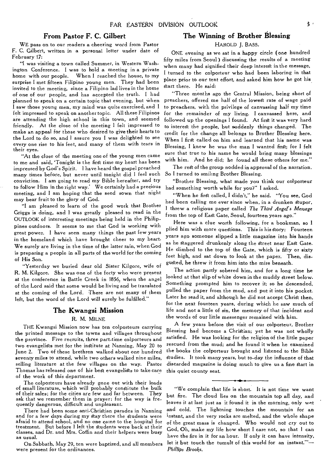## **From Pastor F. C. Gilbert**

WE pass on to our readers a cheering word from Pastor F. C. Gilbert, written in a personal letter under date of February 17:

"I was visiting a town called Summer, in Western Washington Conference. I was to hold a meeting in a private home with our people. When I reached the house, to my surprise I met fifteen Filipino young men. They had been invited to the meeting, since a Filipino lad lives in the home of one of our people, and has accepted the truth. I had planned to speak on a certain topic that evening, but When I saw those young men, my mind was quite exercised, and I felt impressed to speak on another topic. All these Filipinos are attending the high school in this town, and seemed friendly. At the close of the meeting I felt impressed to make an appeal for those who desired to give their hearts to the Lord to do so, and I assure you I was delighted to see every one rise to his feet, and many of them with tears in their eyes.

"At the close of the meeting one of the young men came to me and said, 'Tonight is the first time my heart has been impressed by God's Spirit. I have heard the gospel preached many times before, but never until tonight did I feel such conviction. I am going to read my Bible hereafter, and try to follow Him in the right way.' We certainly had a precious meeting, and I am hoping that the seed sown that night may bear fruit to the glory of God.

"I am pleased to learn of the good work that Brother Griggs is doing, and I was greatly pleased to read in the OUTLOOK of interesting meetings being held in the Philippines outdoors. It seems to me that God is working with great power. I have seen many things the past few years in the homeland which have brought cheer to my heart. We surely are living in the time of the latter rain, when God is preparing a people in all parts of the world for the coming of His Son.

"Yesterday we buried dear old Sister Kilgore, wife of R. M. Kilgore. She was one of the forty who were present at the conference in Battle Creek in 1856, when the angel of the Lord said that some would be living and be translated at the coming of the Lord. There are not many of them left, but the word of the Lord will surely be fulfilled."

## **The Kwangsi Mission**

## R. M. MILNE

THE Kwangsi Mission now has ten colporteurs carrying the printed message to the towns and villages throughout the province. Five recruits, three part-time colporteurs and two evangelists met for the institute at Nanning, May 20 to June 2. Two of these brethren walked about one hundred seventy miles to attend, while two others walked nine miles, selling literature at the few villages on the way. Pastor Thomas has released one of his best evangelists to take care of the work of this department.

The colporteurs have already gone out with their loads of small literature, which will probably constitute the bulk of their sales; for the cities are few and far between. They ask that we remember them in prayer; for the way is frequently dangerous, difficult and unpleasant.

There had been some anti-Christian parades in Nanning and for a few days during my stay there the students were afraid to attend school, and no one came to the hospital for treatment. But before I left the students were back at their classes, and Dr. and Mrs. Coffin and their helpers were busy as usual.

On Sabbath, May 29, ten were baptized, and all members were present for the ordinances.

## **The Winning of Brother Blessing**

### HAROLD J. BASS.

ONE evening as we sat in a happy circle (one hundred fifty miles from Seoul) discussing the results of a meeting when many had signified their deep interest in the message, I turned to the colporteur who had been laboring in that place prior to our tent effort, and asked him how he got his. Start there. He said:

"Three months ago the Central Mission, being short of preachers, offered me half of the lowest rate of wage paid to preachers, with the privilege of canvassing half my time for the remainder of my living. I canvassed here, and followed up the openings I found. At first it was very hard to interest the people, but suddenly things changed. The credit for the change all belongs to Brother Blessing here. When I first called on him and learned that his name was Blessing, I knew he was the man I wanted first; for I felt sure that true to his name he would bring many blessings with him. And he did; he found all these others for me."

The rest of the group nodded in approval of the narration. So I turned to smiling Brother Blessing.

"Brother Blessing, what made you think our colporteur had something worth while for you?" I asked.

"When he first called, I didn't," he said. "You see, God had been calling me ever since when, in a drunken stupor, I threw a religious paper called *The Third Angel's Message*  from the top of East Gate, Seoul, fourteen years ago."

Here was a clue worth following, for a bookman, so I plied him with more questions. This is his Story: Fourteen years ago someone slipped a little magazine into his hands as he Staggered drunkenly along the Street near *East Gate.*  He climbed to the top of the Gate, which is fifty or sixty feet high, and sat down to look at the paper. Then, disgusted, he threw it from him into the mire beneath.

The action partly sobered him, and for a long time he looked at that slip of white down in the muddy street below. Something prompted him to recover it; so he descended, pulled the paper from the mud, and put it into his pocket. Later he read it, and although he did not accept Christ then, for the next fourteen years, during which he saw much of life and not a little of sin, the memory of that incident and the words of our little messenger remained with him.

A few years before the visit of our colporteur, Brother Blessing had become a Christian; yet he was not wholly satisfied. He was looking for the religion of the little paper rescued from the mud; and he found it when he examined the books the colporteur brought and listened to the Bible studies. It took many years, but to-day the influence of that discarded magazine is doing much to give us a fine start in this quiet county seat.

"We complain that life is short. It is not time we want but fire. The cloud lies on the mountain top all day, and leaves it at last just as it found it in the morning, only wet and cold. The lightning touches the mountain for an instant, and the very rocks are melted, and the whole shape of the great mass is changed. Who would not cry out to God, Oh, make my life how short I care not, so that I can have the fire in it for an hour. If only it can have intensity, let it but touch the tumult of this world for an instant.'"— *Phillips Brooks.*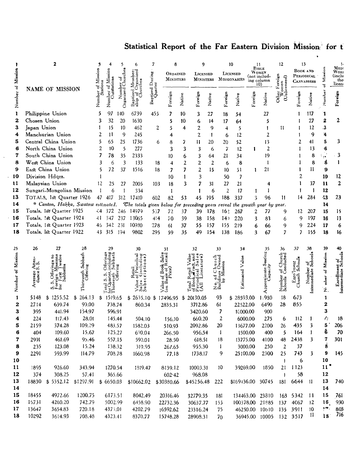# Statistical Report of the Far Eastern Division Mission for t

| of Mission        | 2                                                              |                                     |                   | 3<br>of Mission<br>utstations<br>ㅎ |                  | 5                   | 6<br>ganized                                                                        | 7<br>During | 8<br>ORDAINED<br><b>MINISTERS</b> |                | 9<br>LICENSED      |         | 10<br>LICENSED<br>MINISTERS MISSIONARIES |                          | Ħ<br>BIBLE<br>Women<br>(not includ-<br>ing column<br>10) |                           | 12<br>ទូ<br>្នុ<br>T.  | 13<br>BOOK AND<br>PERIODICAL<br><b>CANVASSERS</b> |                                   | Missio<br>70     | MED<br>Wori<br>(inclu<br>tho<br>licen |
|-------------------|----------------------------------------------------------------|-------------------------------------|-------------------|------------------------------------|------------------|---------------------|-------------------------------------------------------------------------------------|-------------|-----------------------------------|----------------|--------------------|---------|------------------------------------------|--------------------------|----------------------------------------------------------|---------------------------|------------------------|---------------------------------------------------|-----------------------------------|------------------|---------------------------------------|
| Number            | <b>NAME OF MISSION</b>                                         |                                     | Number            |                                    | Organized        | Baptized<br>ship of | ptized D <sub>1</sub><br>Quarter<br>డి                                              | Foreign     | Native                            | Foreign        | Native             | Foreign | Native                                   | Foreign                  | Native                                                   | ತೆ<br>కె                  | Foreign                | Native                                            | Number                            | Foreign          |                                       |
| 1                 |                                                                | Philippine Union                    |                   | 5                                  | 97               | 140                 | 6739                                                                                | 455         | 7                                 | 10             | 3                  | 27      | 18                                       | 54                       |                                                          | 27                        |                        |                                                   | 117                               | ï                |                                       |
| $\mathbf{z}$      | Chosen Union                                                   |                                     |                   | 3                                  | 32               | 20                  | 1630                                                                                |             | 5                                 | 10             | 6                  | 14      | 17                                       | 64                       |                                                          | 5                         |                        |                                                   | 27                                | 2                | 2                                     |
| 3                 | Japan Union                                                    |                                     |                   | 1                                  | 15               | 10                  | 462                                                                                 | 2           | 5                                 | 4              | 2                  | 9       | 4                                        | 5                        |                                                          | 1                         | 11                     |                                                   | 12                                | .3               |                                       |
| 4                 |                                                                | Manchurian Union                    |                   | 2                                  | $\mathbf{11}$    | 9                   | 245                                                                                 |             | 4                                 |                | 2                  | 1       | 6                                        | 12                       |                                                          | 2                         |                        |                                                   | 9                                 | 4                |                                       |
| 5                 | Central China Union                                            |                                     |                   | 5                                  | 65               | 25                  | 1736                                                                                | 6           | 8                                 | 7              | $\mathbf{11}$      | 20      | 20                                       | 52                       |                                                          | 13                        |                        | 2                                                 | 41                                | 5                | 3                                     |
| 6                 | North China Union                                              |                                     |                   | 2                                  | 10               | 5                   | 277                                                                                 |             | 3                                 | 3              | 3                  | 6       | 7                                        | 12                       | 1                                                        | $\overline{2}$            |                        | 1                                                 | 13                                | $6\phantom{.0}6$ |                                       |
| 7                 | South China Union                                              |                                     |                   | 7                                  | 78               | 35                  | 2333                                                                                |             | 10                                | 6              | 3                  | 64      | 21                                       | 34                       |                                                          | 19                        |                        |                                                   | 8                                 | S ge             | $-3$                                  |
| 8                 |                                                                | West China Union                    |                   | 3                                  | 6                | 3                   | 133                                                                                 | 18          | 4                                 | $\overline{2}$ | 2                  | 2       | 6                                        | 8                        |                                                          | 1                         |                        |                                                   | 8                                 | g                | $\mathbf{I}$                          |
| 9                 |                                                                | East China Union                    |                   | 5                                  | 72               | 37                  | 1516                                                                                | 18          | 7                                 | 7              | $\overline{2}$     | 15      | 10                                       | 51                       | 1                                                        | 21                        |                        |                                                   | 11                                | 9                |                                       |
| 10                |                                                                | Division Hdqrs.                     |                   |                                    |                  |                     |                                                                                     |             | 10                                | 1              | 3                  |         | 50                                       | $\overline{\phantom{a}}$ |                                                          |                           |                        | 2                                                 |                                   | 10               | $12 \,$                               |
| 11                |                                                                | Malaysian Union                     |                   | 12                                 | 25               | 27                  | 2005                                                                                | 103         | 18                                | 3              | 7                  | 31      | 27                                       | 21                       |                                                          | 4                         |                        | ı                                                 | 37                                | 11               | $\mathbf{2}$                          |
| 12                |                                                                | Sungari-Mongolian Mission           |                   |                                    | 6                | 1                   | 334                                                                                 |             | 1                                 |                | Ť                  | 6       | 2                                        | 17                       | 1                                                        | 1                         |                        |                                                   | ł                                 | 12               |                                       |
| 13<br>14          | TOTALS, 1st Quarter 1926<br>* Canton, Hakka, Swatow estimated. |                                     |                   | 47                                 | 417              | 312                 | 17410                                                                               | 602         | 82                                | 53             | 45                 | 195     | 188                                      | 337                      | 3                                                        | 96                        | 11                     | 14                                                | 284                               | 43               | 2.3                                   |
| 15                |                                                                | Totals, 1st Quarter 1925            |                   |                                    | 44372            | 246                 | The totals given below for preceding years reveal the growth year by year.<br>14979 | 507         | 72                                | 37             | 39                 | 178     | 16)                                      | 267                      | 2                                                        | 77                        | 9                      | 12                                                | 207                               | 14<br>15         | 15                                    |
| 16                |                                                                | Totals, 1st Quarter 1924            |                   | 41                                 | 347              | 237                 | 13065                                                                               | 414         | 70                                | 39             | 38                 | 158     | 14)                                      | 220                      | 3                                                        | 83                        | 6                      | 9                                                 | 197                               | 16               | 13                                    |
| 17                |                                                                | Totals, 1st Quarter 1923            |                   | 46                                 | 342              | 231                 | 10930                                                                               | 278         | 61                                | 37             | 55                 | 157     | 155                                      | 219                      | 6                                                        | 66                        | 9                      | 9                                                 | 224                               | 17               | 6                                     |
| 18                |                                                                | Totals, lst Quarter 1922            |                   | 43.                                | 315              | 194                 | 9802                                                                                | 295         | 59                                | 35             | 49                 | 154     | 138                                      | 186                      | 3                                                        | 67                        | 7                      | 7                                                 | 155                               | 18               | 16                                    |
|                   |                                                                |                                     |                   |                                    |                  |                     |                                                                                     |             |                                   |                |                    |         |                                          |                          |                                                          |                           |                        |                                                   |                                   |                  |                                       |
| 25                | 26                                                             | 27                                  | 28                |                                    | 29               |                     | 30                                                                                  |             | 31                                |                | 32                 |         | 33                                       | 34                       |                                                          | 35                        | 36                     | 37                                                | 38                                | 39               | 40                                    |
|                   |                                                                |                                     |                   |                                    |                  |                     |                                                                                     |             |                                   |                |                    |         |                                          |                          |                                                          | eating                    |                        |                                                   |                                   |                  |                                       |
|                   | ຼີ້<br>≺ີ່ທີ່                                                  |                                     | Sabbath           |                                    |                  |                     |                                                                                     |             |                                   |                |                    |         |                                          | Value                    |                                                          |                           |                        |                                                   |                                   |                  |                                       |
| Number of Mission |                                                                |                                     |                   |                                    |                  |                     |                                                                                     |             |                                   |                |                    |         |                                          |                          |                                                          | Approximate S<br>Capacity | of Church<br>Conducted | Enrolment<br>Church School                        | Number of<br>Intermediate Schools | nber of Mission  | Enrollment of<br>**mediate Scho       |
|                   | Thirteenth<br>Average<br>dance:                                |                                     |                   |                                    |                  |                     |                                                                                     |             |                                   |                |                    |         | Estimated                                |                          |                                                          | Number<br>Schools         |                        |                                                   |                                   |                  |                                       |
|                   |                                                                | ທ່                                  |                   |                                    |                  |                     |                                                                                     |             |                                   |                |                    |         | ó<br>چو<br>ھ                             |                          |                                                          |                           |                        |                                                   |                                   |                  | Intern                                |
|                   |                                                                |                                     |                   |                                    |                  |                     |                                                                                     |             |                                   |                |                    |         |                                          |                          |                                                          |                           |                        |                                                   |                                   | ź,               |                                       |
| 1                 | 5148<br>2714                                                   | 1255.52<br>\$<br>639.74             | \$264.13<br>99.00 | \$                                 | 1519.65          |                     | $$2635.10$ \$                                                                       |             | 17496.95                          | \$             | 20130.05           |         | 93                                       | \$28593.00               |                                                          | 1:930                     | 18<br>28               | 673<br>855                                        |                                   | 1<br>2           |                                       |
| 2<br>3            | 395                                                            | 441.94                              | 154.97            |                                    | 738.74<br>596.91 |                     | 860.34                                                                              |             | 2835.31                           |                | 3712.86<br>3420.60 |         | 61<br>7                                  | 22522.00<br>10000.00     |                                                          | 6490<br>900               |                        |                                                   |                                   | 3                |                                       |
| 4                 | 224                                                            | 117.43                              | 28.01             |                                    | 145.44           |                     | 504.10                                                                              |             | 156.10                            |                | 660.20             |         | 2                                        | 6000.00                  |                                                          | 275                       | 6                      | 112                                               | 1                                 | M                | 18                                    |
| 5                 | 2159                                                           | 374.28                              | 109.29            |                                    | 483.57           |                     | 1582.03                                                                             |             | 510.93                            |                | 2092.86            |         | 20                                       | 13677.00                 |                                                          | 2200                      | 26                     | 435                                               | 3                                 | 5                | 206                                   |
| 6                 | 404                                                            | 109.60                              | 15.67             |                                    | 125.27           |                     | 690.04                                                                              |             | 266.50                            |                | 956.54             |         | 1                                        | 1500.00                  |                                                          | 400                       | 5                      | 164                                               | 1                                 | Ğ                | 70                                    |
| 7                 | 2991                                                           | 461.69                              | 95.46             |                                    | 557.15           |                     | 590.01                                                                              |             | 28.50                             |                | 618.51             |         | 18                                       | 13775.00                 |                                                          | 4100                      | 48                     | 2438                                              | 3                                 | 7                | 301                                   |
| 8                 | 235                                                            | 123.08                              | 15.24             |                                    | 138.32           |                     | 319.95                                                                              |             | 261.65                            |                | 955.30             |         | 1                                        | 3000.00                  |                                                          | 250                       | 2                      | 37                                                |                                   |                  |                                       |
| 9                 | 2291                                                           | 593.99                              | 114.79            |                                    | 708.78           |                     | 1660.98                                                                             |             | 77.18                             |                | 1738.17            |         | 9                                        | 25100.00                 |                                                          | 2300                      | 25                     | 743                                               | 3                                 |                  | 145                                   |
| 10                |                                                                |                                     |                   |                                    |                  |                     |                                                                                     |             |                                   |                |                    |         |                                          |                          |                                                          |                           | $\mathbf{F}$           | 6                                                 |                                   | 10               |                                       |
| 11                | 1895                                                           | 926.60                              | 343.94            |                                    | 1270.54          |                     | 1819.47                                                                             |             | 8139.12                           |                | 10003.31           |         | 10                                       | 39269.00                 |                                                          | 1850                      | 21                     | 1123                                              |                                   | $11^*$           |                                       |
| 12                | 374                                                            | 308.25                              | 57.41             |                                    | 365.66           |                     |                                                                                     |             | 602.42                            |                | 968.08             |         |                                          |                          |                                                          |                           | $\mathbf{I}$           | 58                                                |                                   | 12               |                                       |
| 13                |                                                                | 18830 \$5352.12 \$1297.91 \$6650.03 |                   |                                    |                  |                     | \$10662.02 \$30380.66                                                               |             |                                   |                | \$45256.48         |         | 222                                      | \$169436.00 30745        |                                                          |                           |                        | 181 6644                                          | -11                               | 13               | 740                                   |
| 14                |                                                                |                                     |                   |                                    |                  |                     |                                                                                     |             |                                   |                |                    |         |                                          |                          |                                                          |                           |                        |                                                   |                                   | 14               |                                       |
| 15                | 18455                                                          | 4972.66                             | 1200.75           |                                    | 6173.51          |                     | 8042.49                                                                             |             | 20316.46                          |                | 32779.35           |         | 181                                      |                          |                                                          | 134463.00 23810           |                        | 163 5342                                          | -11                               | 15               | 761                                   |
| 16                | 15731                                                          | 4260.20                             | 742.79            |                                    | 5002.99          |                     | 6458.90                                                                             |             | 22732.36                          |                | 30637.77           |         | 155                                      |                          |                                                          | 100378.00 21885           | 137                    | 4067                                              | 12                                | 16               | 930                                   |
| 17                | 13647                                                          | 3654.83                             | 720.18            |                                    | 4375.01          |                     | 4202.79                                                                             |             | 16592.62                          |                | 23316.24           |         | 75                                       |                          |                                                          | 46250.00 10510            |                        | 135 3911                                          | 10                                | 77.              | 803                                   |
| 18                | 10292                                                          | 3614.93                             | 708.48            |                                    | 4323.41          |                     | 8370.77                                                                             |             | 15748.28                          |                | 28908.31           |         | 70                                       |                          |                                                          | 36945.00 10005 132 3517   |                        |                                                   | -H                                | 18 <sup>°</sup>  | - 716                                 |

 $\hat{\mathcal{A}}$ 

 $\cdot$ 

 $\ddot{\phantom{1}}$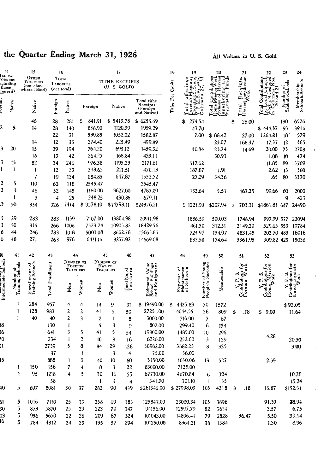## the Quarter Ending March 31, 1926

## All Values in U.S. Gold

 $\bar{\beta}$ 

| 14                                              |                               | 15                                              |                  | 16                               |                |                    | 17                             |                                                    |                                                                            | 18                  | 19                               |                       | 20                                                                                                                             |                  | 21                               | 22                              | 23                           | 24                            |
|-------------------------------------------------|-------------------------------|-------------------------------------------------|------------------|----------------------------------|----------------|--------------------|--------------------------------|----------------------------------------------------|----------------------------------------------------------------------------|---------------------|----------------------------------|-----------------------|--------------------------------------------------------------------------------------------------------------------------------|------------------|----------------------------------|---------------------------------|------------------------------|-------------------------------|
| EDICAL<br>ORKERS<br>ncluding<br>those<br>ensed) |                               | OTHER<br>WORKERS<br>(not clse-<br>where listed) |                  | Тотлі<br>LABORERS<br>(net total) |                |                    | TITHE RECEIPTS<br>(U. S. GOLD) |                                                    |                                                                            | Tithe Per Capita    | iona<br>designation<br>òD        |                       | Home Mission Work<br>Exclusive of Harvest<br>Ingathering and<br>Contributions<br>ng ang<br>Funds<br>Ingatherin<br>Sustentation |                  | Receipts,<br>Ingathering<br>Work |                                 | Number of<br>Sabbath-Schools | Membership<br>Sabbath-Schools |
|                                                 | Native                        | Native                                          | Foreign          | Native                           |                | Native<br>Foreign  |                                | Total tithe<br>Receipts<br>(Foreign<br>and Native) |                                                                            | oreign<br>$\vec{a}$ | ö<br>Column                      |                       |                                                                                                                                | Total<br>Harvest | 9                                |                                 |                              |                               |
|                                                 |                               | 46                                              | 28               | 281                              | \$             | 841.91             | \$5413.78                      |                                                    | \$6255.69                                                                  |                     | 274.54<br>\$                     |                       |                                                                                                                                | \$               | 26.00                            |                                 | 190                          | 6526                          |
|                                                 | 5                             | 14                                              | 28               | 140                              |                | 838.90             |                                | 1120.39                                            | 1959.29                                                                    |                     |                                  | 43.70                 |                                                                                                                                |                  |                                  | \$44.37                         | 93                           | 3916                          |
|                                                 |                               |                                                 | 22               | 31                               |                | 530.85             |                                | 1052.02                                            | 1582.87                                                                    |                     |                                  | 7.00                  | \$88.42                                                                                                                        |                  | 27.00                            | 1264.21                         | 18                           | 579                           |
|                                                 |                               | 14                                              | 12               | 35                               |                | 274.40             | 225.49                         |                                                    | 499.89                                                                     |                     |                                  |                       | 23.07                                                                                                                          |                  | 168.37                           | 17.37                           | 12                           | 365                           |
| 3                                               | 20                            | 15                                              | 39               | 194                              |                | 764.20             | 695.12                         |                                                    | 1459.32                                                                    |                     |                                  | 30.84                 | 23.74                                                                                                                          |                  | 14.69                            | 20.00                           | 73                           | 2708                          |
|                                                 |                               | 16                                              | 13               | 42                               |                | 264.27             |                                | 168.84                                             | 433.11                                                                     |                     |                                  |                       | 30.93                                                                                                                          |                  |                                  | 1.08                            | 10                           | 474                           |
| 3                                               | 15                            | 82                                              | 34               | 246                              | 976.38         |                    | 1195.23                        |                                                    | 2171.61                                                                    |                     |                                  | 517.62                |                                                                                                                                |                  |                                  | 11.85                           | 89                           | 3769                          |
| ı                                               | 1                             | 1                                               | 12               | 23                               | 248.62         |                    | 221.51                         |                                                    | 470.13                                                                     |                     |                                  | 187.87                | 1.91                                                                                                                           |                  |                                  | 2.62                            | 13                           | 360                           |
|                                                 |                               | 7                                               | 19               | 134                              | 884.85         |                    |                                | 647.87                                             | 1532.72                                                                    |                     |                                  | 27.29                 | 34.36                                                                                                                          |                  |                                  | .65                             | 80                           | 3370                          |
| 2                                               | 5                             | 110                                             | 63               | 118                              | 2545.47        |                    |                                |                                                    | 2545.47                                                                    |                     |                                  |                       |                                                                                                                                |                  |                                  |                                 |                              |                               |
| $\overline{2}$                                  | 3                             | 46                                              | 52               | 145                              | 1160.00        |                    | 3627.00                        |                                                    | 4787.00                                                                    |                     | 132.64                           |                       | 5.51                                                                                                                           | 467.25           |                                  | 99.66                           | 60                           | 2000                          |
|                                                 | L                             | 3                                               | 4                | 25                               |                | 248.25             |                                | 430.86                                             | 679.11                                                                     |                     |                                  |                       |                                                                                                                                |                  |                                  |                                 | 9                            | 423                           |
| 3                                               | 50                            | 354                                             | 326              | 1414                             | \$             | 9578.10            | \$14798.11                     |                                                    | \$24376.21                                                                 |                     | \$1221.50                        |                       | \$207.94                                                                                                                       | \$               | 703.31                           | \$1861.81 647                   |                              | 24490                         |
| 5                                               | 29                            | 283                                             | 283              | 1159                             | 7107.00        |                    | 13804.98                       |                                                    | 20911.98                                                                   |                     | 1886.59                          |                       | 500.03                                                                                                                         |                  | 1748.94                          | 997.99 577                      |                              | 22094                         |
| 3                                               | 30                            | 315                                             | 266              | 1006                             | 7523.74        |                    |                                | 10905.82                                           | 18429.56                                                                   |                     | 461.30                           |                       | 312.51                                                                                                                         | 2149.20          |                                  | 529.65 553                      |                              | 19784                         |
| 6                                               | 44                            | 246                                             | 283              | 1018                             | 5003.08        |                    |                                | 8662.78                                            | 13665.86                                                                   |                     |                                  | 724.97                | 134.07                                                                                                                         |                  | 4831.45                          | 202.70 483                      |                              | 16916                         |
| 6                                               | 48                            | 271                                             | 263              | 976                              |                | 6411.16            |                                | 8257.92                                            | 14669.08                                                                   |                     |                                  | 832.50                | 174.64                                                                                                                         |                  | 3361.95                          | 909.82 425                      |                              | 15036                         |
| 0                                               | 41                            | 42                                              | 43               | 44<br>NUMBER OF                  |                |                    | 45<br>NUMBER OF                | 46                                                 | 47                                                                         |                     | 48                               | 49                    | 50                                                                                                                             |                  | 51                               | 52                              |                              | 53                            |
| Intermediate Schools                            | Number of<br>Training Schools | Enrollment of<br>Training Schools               | Total Enrollment | FOREIGN                          | Teachers       | NATIVE<br>TEACHERS |                                | Total No. of<br>Leachers                           | Value<br>Buildings<br>Estimated Value<br>School Buildings<br>and Equipment |                     | Iaintenance<br>f Schools<br>ō    | of Young<br>Societies | Membership                                                                                                                     |                  | ă<br>ò<br>ers<br>⋧<br>m          | غ<br>ទី<br>v.                   |                              | š<br>ociety                   |
|                                                 |                               |                                                 |                  |                                  |                |                    |                                |                                                    |                                                                            |                     |                                  |                       |                                                                                                                                |                  |                                  | $\mathbf{\overset{e}{w}_{orb}}$ |                              | ă                             |
|                                                 |                               |                                                 |                  | Men                              | Women          | Men                | Women                          | سإسا                                               |                                                                            |                     | Expense<br>Maintenan<br>of Schoo | Number<br>People's    |                                                                                                                                |                  | Contributi<br>Foreign<br>oreign  | Contri<br>Home                  |                              | Loca<br>$_{\rm Contri}$       |
|                                                 | 1                             | 284                                             | 957              | 4                                | 4              | 14                 | 9                              | 31                                                 | \$19490.00                                                                 | \$                  | 4425.83                          | 70                    | 1572                                                                                                                           |                  |                                  |                                 |                              | \$92.05                       |
|                                                 | 1                             | 128                                             | 983              | 2                                | $\overline{c}$ | 41                 | 5                              | 50                                                 | 27251.00                                                                   |                     | 4044.55                          | 26                    | 809                                                                                                                            | \$               | .18                              | 9.00<br>\$                      |                              | 11.64                         |
|                                                 | 1                             | 40                                              | 40               | 2                                | 3              | 2                  | 1                              | 8                                                  | 3000.00                                                                    |                     | 716.00                           | 7                     | 67                                                                                                                             |                  |                                  |                                 |                              |                               |
| 8                                               |                               |                                                 | 130              | 1                                |                | 5                  | 3                              | 9                                                  | 807.00                                                                     |                     | 299.40                           | 6                     | 134                                                                                                                            |                  |                                  |                                 |                              |                               |
| 16                                              |                               |                                                 | 641              | 3                                | 5              | 41                 | 5                              | 54                                                 | 19300.00                                                                   |                     | 1485.00                          | 10                    | 296                                                                                                                            |                  |                                  | 4.28                            |                              |                               |
| Ό                                               |                               |                                                 | 234              | 1                                | 2              | 10                 | 3                              | 16                                                 | 6220.00                                                                    |                     | 252.00                           | 3                     | 129                                                                                                                            |                  |                                  |                                 |                              | 20.30                         |
|                                                 |                               |                                                 | 2739             | 5                                | 8              | 84                 | 29                             | 126                                                | 30982.00                                                                   |                     | 3682.25                          |                       | 325<br>8                                                                                                                       |                  |                                  |                                 |                              | 3.00                          |
|                                                 |                               |                                                 | 37               |                                  |                |                    | 3                              | 4                                                  | 75.00                                                                      |                     | 36.00                            |                       |                                                                                                                                |                  |                                  |                                 |                              |                               |
| 15                                              |                               |                                                 | 888              | 1                                | 3              | 46                 | 10                             | 60                                                 | 3150.00                                                                    |                     | 1030.06                          | 13                    | 527                                                                                                                            |                  |                                  | 2.59                            |                              |                               |
|                                                 |                               | 150                                             | 156              | 7                                |                | 8                  | 3                              | 22                                                 | 83000.00                                                                   |                     | 7125.00                          |                       |                                                                                                                                |                  |                                  |                                 |                              |                               |
|                                                 | 1                             | 95                                              | 1218             | 4                                | 5              | 30                 | 16                             | 55                                                 | 67730.00                                                                   |                     | 4670.84                          |                       | 304<br>6                                                                                                                       |                  |                                  |                                 |                              | 10.28                         |
| 10                                              | 5                             | 697                                             | 58<br>8081       | 30                               | 37             | 1<br>282           | $\overline{\mathbf{3}}$<br>90  | 4<br>439                                           | 341.00<br>\$261346.00                                                      |                     | 301.10<br>\$27998.03             | 105                   | 55<br>-1<br>4218                                                                                                               | \$               | .18                              | 15.87                           |                              | 15.24                         |
|                                                 |                               |                                                 |                  |                                  |                |                    |                                |                                                    |                                                                            |                     |                                  |                       |                                                                                                                                |                  |                                  |                                 |                              | \$152.51                      |
| 51.                                             | 5                             | 1016                                            | 7110             | 25                               | 33             | 258                | 69                             | 385                                                | 125847.00                                                                  |                     | 23080.34                         | 105                   | 3896                                                                                                                           |                  |                                  | 91.39                           |                              | 28.94                         |
| 30                                              | 5                             | 873                                             | 5870             | 25                               | 29             | 223                | 70                             | 347                                                | 94156.00                                                                   |                     | 12597.79                         | 82                    | 3614                                                                                                                           |                  |                                  | 3.57                            |                              | 6.75                          |
| 03<br>16                                        | 5<br>5                        | 956                                             | 5670             | 22                               | 26             | 209                | 67                             | 324                                                | 101043.00                                                                  |                     | 14896.41                         | 79                    | 2828                                                                                                                           |                  | 36.47                            | 5.50                            |                              | 39.14                         |
|                                                 |                               | 784                                             | 4812             | 24                               | 23             | 195                | 57                             | 294                                                | 101250.00                                                                  |                     | 8364.21                          | 38                    | 1384                                                                                                                           |                  |                                  | 1.30                            |                              | 8.96                          |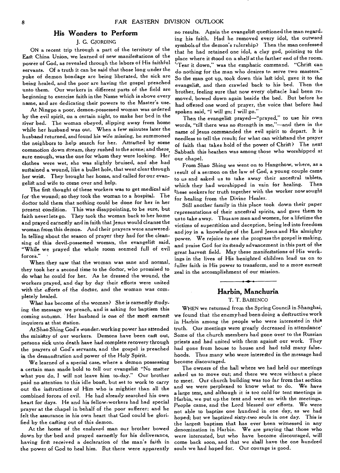## **His Wonders to Perform**

#### **J.** G. GJORDING

ON a recent trip through a part of the territory of the East China Union, we learned of new manifestations of the power of God, as revealed through the labors of His faithful servants. Of a truth it can be said that those long under the yoke of demon bondage are being liberated, the sick are being healed, and the poor are having the gospel preached unto them. Our workers in different parts of the field are beginning to exercise faith in the Name which is above every name, and are dedicating their powers to the Master's use.

At Ningpo a poor, demon-possessed woman was ordered by the evil spirit, on a certain night, to make her bed in the river bed. The woman obeyed, slipping away from home while her husband was out. When a few minutes later the husband *returned,* and found his *wife missing,* he summoned the neighbors to help search for her. Attracted by some commotion down stream, they rushed to the scene; and there, sure enough, was the one for whom they were looking. Her clothes were wet, she was slightly bruised, and she had sustained a wound, like a bullet hole, that went clear through her wrist. They brought her home, and called for our evangelist and wife to come over and help.

The first thought of these workers was to get medical aid for the wound; so they took the woman to a hospital. The doctor told them that nothing could be done for her in her present condition. This was disappointing, to be sure, but faith never lets go. They took the woman back to her home and prayed earnestly and in faith that Jesus would cleanse the woman from this demon. And their prayers were answered. In telling about the season of prayer they had for the cleansing of this devil-possessed woman, the evangelist said, "While we prayed the whole room seemed full of evil forces."

When they saw that the woman was sane and normal, they took her a second time to the doctor, who promised to do what he could for her. 'As he dressed the wound, the workers prayed, and day by day their efforts were united with the efforts *of* the doctor, and the woman was completely healed.

What has become of the woman? She *is* earnestly studying the message we preach, and is asking for baptism this coming autumn. Her husband is one of the most *earnest*  inquirers at that station.

At Shao Shing God's wonder-working power has attended the ministry of our workers. Demons have been cast out, persons sick unto death have had complete recovery through the prayers of God's servants, and the gospel is preached in the demonstration and power of the Holy Spirit.

We learned of a special case, where a demon possessing a certain man made bold to tell our evangelist "No matter what you do, I will not leave him to-day." Our brother paid no attention to this idle boast, but set to work to carry out the instructions of Him who is mightier than all the combined forces of evil. He had already searched his own heart for days. He and his fellow-workers had had special prayer at the chapel in behalf of the poor sufferer; and he felt the assurance in his own heart that God could be glorified by the casting out of this demon.

At the home of the enslaved man our brother bowed down by the bed and prayed earnestly for his deliverance, having first received a declaration of the man's faith in the power of God to heal him. But there were apparently no results. Again the evangelist questioned the man regarding his faith. Had he removed every idol, the outward symbols of the demon's rulership? Then the man confessed that he had retained one idol, a clay god, pointing to the place where it stood on a shelf at the farther end of the room. `Tear it down," was the emphatic command. "Christ can do nothing for the man who desires to serve two masters." So the man got up, took down this last idol, gave it to the evangelist, and *then* crawled back to his bed. Then the brother, feeling sure that now every obstacle had been removed, bowed down again beside the bed. But before he had offered one word of prayer, the voice that before had spoken said, "I will go; I will go."

Then the evangelist prayed—"prayed," to use his own words, "till there was no strength in me,"—and then in the name of Jesus commanded the evil spirit to depart. It is needless to tell the result; for what can withstand the prayer of faith that takes hold of the power of Christ? The next Sabbath this heathen was among those who worshipped at our chapel.

From Shao Shing we went on to Hangchow, where, as a result of a sermon on the law of God, a young couple came to us and asked us to take away their ancestral tablets, which they had worshipped in vain for healing. these seekers for truth together with the worker now sought for healing from the Divine Healer.

Still another family in this place took down their paper representations of their ancestral spirits, and gave them to us to take away. Thus are men and women, for a lifetime the victims of superstition and deception, being led into freedom and joy in a knowledge of the Lord Jesus and His almighty power. We rejoice to *see* the progress the gospel is making, and praise God for its steady advancement in this part of the great harvest field. May *these manifestations* of His workings in the lives of His benighted children lead us on to fuller faith in His power to transform, and to a more earnest zeal in the accomplishment of our mission.

## **Harbin, Manchuria**

## T. T. BABIENCO

WHEN we returned from the Spring Council in Shanghai, we found that the enemy had been doing a destructive work in Harbin among the people who were interested in this truth. Our meetings were greatly decreased in attendance' Some of the church members had gone over to the Russian priests and had united with them against our work. They had gone from house to house and had told many falsehoods. Thus many who were interested in the message had become discouraged.

The owners of the hall where we had held our meetings asked us to move out; and there we were without a place to meet. Our church building was too far from that section and we were perplexed to know what to do. We have a large tent, and although it is too cold for tent meetings *in*  Harbin, we put up the tent and went on with the meetings. People came, and the Lord blessed our *efforts. We* were not able to baptize one hundred in one day, as we had hoped; but we baptized sixty-two souls in one day. This is the largest baptism that has ever been witnessed in any denomination in Harbin. We are praying that those who were interested, but who have become discouraged, will come back soon, and that we shall have the one hundred souls we had hoped for. Our courage is good.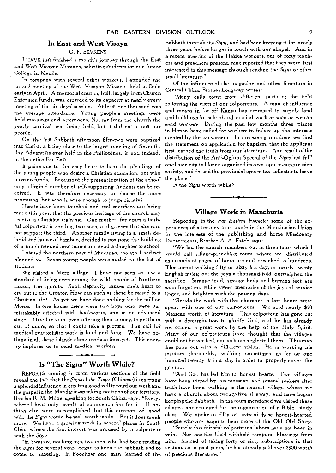## **In East and West Visaya**

## 0. F. SEVRENS

I HAVE just finished a month's journey through the East and West Visayan Missions, soliciting students for our Junior College in Manila.

In company with several other workers, I attended the annual meeting of the West Visayan Mission, held in Iloilo early in April. A memorial church, built largely from Church Extension funds, was crowded to its capacity at nearly every meeting of the six days' session. At least one thousand was the average attendance. Young people's meetings were held mornings and afternoons. Not far from the church the yearly carnival was being held, but it did not attract our people.

On the last Sabbath afternoon fifty-two were baptized into Christ, a fitting close to the largest meeting of Seventhday Adventists ever held in the Philippines, if not, indeed, in the entire Far East.

It pains one to the very heart to hear the pleadings of the young people who desire a Christian education, but who have no funds. Because of the present location of the school only a limited number of self-supporting students can be received. It was therefore necessary to choose the more promising; but who is wise enough to judge rightly?

Hearts have been touched and real sacrifices are being made this year, that the precious heritage of the church may receive a Christian training. One mother, for years a faithful colporteur is sending two sons, and grieves that she cannot support the third. Another family living in a small delapidated house of bamboo, decided to postpone the building of a much needed new house and send a daughter to school.

I visited the northern part of Mindinao, though I had not planned to. Seven young people were added to the list of Students.

We visited a Moro village. I have not seen so low a Standard of living even among the wild people of Northern Luzon, the Igorots. Such depravity causes one's heart to cry out to the Creator, How can such as these be raised to a Christian life? As yet we have done nothing for the million Moros. In one house there were two boys who were unmistakably affected with hookworm, one in an advanced Stage. I tried in vain, even offering them money, to get them out of doors, so that I could take a picture. The call for medical evangelistic work is loud and long. We have nothing in all these islands along medical lines yet. This country implores us to send medical workers.

## **Is "The Signs" Worth While?**

REPORTS coming in from various sections of the field reveal the fact that the *Signs of the Times* (Chinese) is exerting a splendid influence in creating good will toward our work and the gospel in the Mandarin-speaking portions of our territory. Brother R. M. Milne, speaking for South China, says, "Everywhere I hear only words of commendation for it. If nothing else were accomplished but this creation of good will, the *Signs* would be well worth while. But it does much more. We have a growing work in several places in South China where the first interest was aroused by a colporteur with the *Signs.* 

"In Swatow, not long ago, two men who had been reading the *Signs* for several years began to keep the Sabbath and to come to meeting. In Foochow one man learned of the

Sabbath through the *Signs,* and had been keeping it for nearly three years before he got in touch with our chapel. And in a recent meeting, of the Hakka workers, out of forty teachers and preachers present, nine reported that they were first interested in this message through reading the *Signs* or other small literature."

Of the influence of the magazine and other literature in Central China, Brother Longway writes:

"Many calls come from different parts of the field following the visits of our colporteurs. A man of influence and means in far off Kansu has promised to supply land and buildings for school and hospital work as soon as we can send workers. During the past few months three places in Honan have called for workers to follow up the interests created by the canvassers. In increasing numbers we find the statement on application for baptism, that the applicant first learned the truth from our literature. As a result of the distribution of the Anti-Opium Special of the *Signs* last fall' one hsien city in Honan organized its own opium-suppression society, and forced the provincial opium tax-collector to leave the place."

Is the *Signs* worth while?

## **Village Work in Manchuria**

Reporting in the *Far Eastern Promoter* some of the experiences of a ten-day tour made in the Manchurian Union in the interests of the publishing and home Missionary Departments, Brother A. A. Esteb says:

"We led the church members out in three tours which I would call village-preaching tours, where we distributed thousands of pages of literature and preached to hundreds. This meant walking fifty or sixty *li* a day, or nearly twenty English miles; but the joys a thousand-fold outweighed the sacrifice. Strange food, strange beds and burning feet are soon forgotten, while sweet memories of the joys of service linger, and brighten with the passing days.

"Beside the work with the churches, a few hours were spent with one of our colporteurs. We sold nearly \$50 Mexican worth of literature. This colporteur has gone out with a determination to glorify God, and he has already performed a great work by the help of the Holy Spirit. Many of our colperteurs have thought that the villages could not be worked, and so have neglected them. This man has gone out with a different vision. He is working his territory thoroughly, walking sometimes as far as one hundred twenty *li* in a day in order to properly cover the ground.

"And God has led him to honest hearts. Two villages have been stirred by his message, and several seekers after truth have been walking to the nearest village where we have a church, about twenty-five *li* away, and have begun keeping the Sabbath. In the tours mentioned we visited these villages, and arranged for the organization of a Bible study class. We spoke to fifty or sixty of these honest-hearted people who are eager to hear more of the Old Old Story.

"Surely this faithful colporteur's labors have not been in vain. Nor has the Lord withheld temporal blessings from him. Instead of taking forty or sixty subscriptions in that section. as in past years, he has already sold over \$300 worth of precious literature."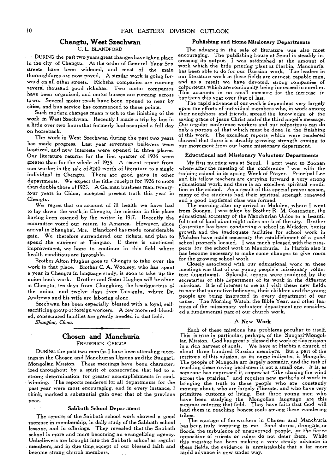## **Chengtu, West Szechwan**

#### C. L. BLANDFORD

DURING the past two years great changes have taken place in the city of Chengtu. At the order of General Yang Sen streets have been widened, and most of the main thoroughfares are now paved, A similar work is going forward on all other streets. Richsha companies are running several thousand good rickshas. Two motor companies have been organized, and motor busses are running across town. Several motor roads have been opened to near by cities, and bus service has commenced to these points.

Such modern changes mean n uch to the finishing of the work in West Szechwan. Recently **I** made a trip by bus in a little over two hours that formerly had occupied a full day on horseback.

The work in West Szechwan during the past two years has made progress. Last year seventeen believers were baptized, and new interests were opened in three places. Our literature returns for the first quarter of 1926 were greater than for the whole of 1925. A recent report from one worker is the sale of \$240 worth of literature to a single individual in Chengtu. There are good gains in other departments. We expect the tithe receipts for 1926 to more than double those of 1925. A German business man, twentyfour years in China, accepted present truth this year in *Chengtu.* 

We regret that on account of ill health we have had to lay down the work in Chengtu, the mission in this place having been opened by the writer in 1917. Recently the committee voted our return to America. However, since arrival in Shanghai, Mrs. Blandford has made considerable gain. We therefore surrendered our tickets, and plan to spend the summer at Tsingtao. If there is continued improvement, we hope to continue in this field where health conditious are favorable.

Brother Alton Hughes goes to Chengtu to take over the work *in* that place. Brother C. A. Woolsey, who has spent a year in Chengtu in language study, is soon to take up the union book work. Brother and Sister Hughes will be alone at Chengtu, ten days from Chungking, the headquarters of the union, and twelve days from Tatsienlu, where Dr. Andrews and his wife are laboring alone.

Szechwan has been especially blessed with a loyal, selfsacrificing group of foreign workers. A few more red-blooded, consecrated families are greatly needed in that field.

*Shanghai, China.* 

 $\mathbb{R}^2$ 

## **Chosen and Manchuria**  FREDERICK GRIGGS

DURING the pat two months I have been attending meetings in the Chosen and Manchurian Unions and the Sungari.. Mongolian Mission. These meetings have been characterized throughout by a spirit of consecration that led to a strong determination for greater accomplishments in soulwinning. The reports rendered for all departments for the *past year were most encouraging,* and in every *instance, I*  think, marked a substantial gain over that of the previous year.

#### **Sabbath School Department**

The reports of the Sabbath school work showed a good increase in membership, in daily study of the Sabbath school *lessons,* and in offerings. They revealed that the Sabbath school is more and more becoming an evangelizing agency. Unbelievers are brought into the Sabbath school as regular members, and in due time accept of our blessed faith and become strong church members.

#### **Publishing and Home Missionary Departments**

The advance in the sale of literature was *also* most encouraging. The publishing house at Seoul is steadily increasing its output. I was astonished at the amount of work which the little printing plant at Harbin, Manchuria, has been able to do for our Russian work, The leaders in our literature work in these fields are earnest, capable men, and as a result we have devoted, strong companies of colporteurs which are continually being increased in number. This accounts in no small measure for the increase in baptisms this year over that of last.

The rapid advance of our work is dependent very largely upon the efforts of individual members who, in work among their neighbors and friends, spread the knowledge of the saving grace of Jesus Christ and of the third angel's message. Our regular conference workers and our colporteurs can do only a portion of that which must be done in the finishing of this work. The excellent reports which were rendered showed that there is a steadily growing strength coming to our movement from our home missionary department.

#### **Educational and Missionary Volunteer Departments**

My first meeting was at Seoul. I next went to Soonan where after the meeting of the conference I was with the training school in its spring Week of Prayer. Principal Lee and his fellow teachers are carrying forward a very strong educational work, and there is an excellent spiritual condition in the school. As a result of this special prayer season, many of the students had their spiritual strength renewed and a good baptismal class was formed.

The morning after my arrival in Mukden, where I went from Soonan, I was taken by Brother R. M. Cossentine, the educational secretary of the Manchurian Union to a beautiful tract of land about eight miles north of the city. Brother Cossentine has been conducting a school in Mukden, but its growth and the inadequate facilities for school work in Mukden have made necessary the establishment of a good school properly located. I was much pleased with the prospects for the school work in Manchuria. In Harbin also it has become necessary to make some changes to give *room*  for the growing school work.

Closely associated with our educational work in these meetings was that of our young people's missionary volunteer department. Splendid reports were rendered by the *secretaries* of *this* department of its work *in* the different missions. It is of interest to me as I visit these new fields to note that our native believers, their children and the young people are being instructed in every department of our cause. The Morning Watch, the Bible Year, and other features of the missionary volunteer department are considered a fundamental part of our church work.

#### A **New Work**

Each of these missions has problems peculiar to itself. This is true in particular, perhaps, of the Sungari-Mongolian Mission. God has greatly blessed the work of this mission in a rich harvest of souls. We have at Harbin a church of about three hundred Russian members. But a part of the territory of this mission, as its name indicates, is Mongolia. The people of Mongolia are largely nomadic, and the task of reaching these roving herdsmen is not a small one. It is, as someone has expressed it, somewhat "like chasing the wind across the prairies," and requires new methods of work in bringing the truth to these people who are constantly moving about, who are largely illiterate, and who have very primitive customs of living. But three young men who have been studying the Mongolian language are this summer entering that field. They have faith that God will lead them in reaching honest souls among these wandering tribes.

The courage of the workers in Chosen and Manchuria has been truly inspiring to me. Sand storms, droughts, or floods, the turbulence of ungoverned people, or the fierce opposition of priests or rulers do not deter them. While *this message has* been making a very steady advance in these fields, the evidence is unmistakable that a far more rapid advance is now under way.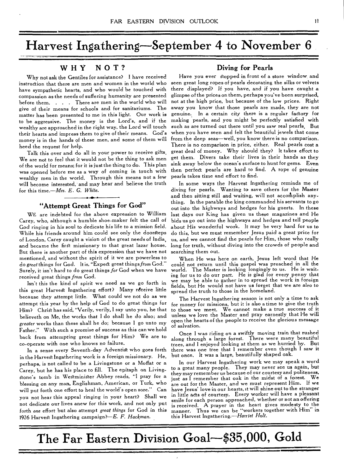# **Harvest Ingathering—September 4 to November 6**

## **WHY NOT?**

Why not ask the Gentiles for assistance? I have received instruction that there are men and women in the world who have sympathetic hearts, and who would be touched with compassion as the needs of suffering humanity are presented before them. . . There are men in the world who will give of their means for schools and for sanitariums. The matter has been presented to me in this light. Our work is to be aggressive. The money is the Lord's, and if the wealthy are approached in the right way, the Lord will touch their hearts and impress them to give of their means. God's money is in the hands of these men, and some of them will heed the request for help.

Talk this over and do all in your power to receive gifts, We are not to feel that it would not be the thing to ask men of the world for means; for it is just the thing to do. This plan was opened before me as a way of coming in touch with wealthy men in the world. Through this means not a few will become interested, and may hear and believe the truth for this time.—Mrs. *E. G. White.* 

## **"Attempt Great Things for God"**

WE are indebted for the above expression to William Carey, who, although a humble shoe-maker felt the call of God ringing in his soul to dedicate his life to a mission field. While his friends around him could see only the doorsteps of London, Carey caught a vision of the great needs of India, and became the first missionary to that great lazar house. But there is another part of this expression that we have not mentioned, and without the spirit of it we are powerless to do *great* things for God. It is, "Expect great thingsfrom God." Surely, it isn't hard to do great things *for* God when we have received great things *from* God.

Isn't this the kind of spirit we need as we go forth in this great Harvest Ingathering effort? Many rdceive little because they attempt little. What could we not do as we attempt this year by the help of God to do great things for Him? Christ has said, "Verily, verily, I say unto you, he that believeth on Me, the works that I do shall he do also; and greater works than these shall he do; because I go unto my Father." With such a promise of success as this can we hold back from attempting great things for Him? We are to co-operate with one who knows no failure.

In a sense every Seventh-day Adventist who goes forth in the Harvest Ingathering work is a foreign missionary. He, perhaps, is not called to be a Livingstone or a Moffat or a Carey, but he has his place to fill. The epitaph on Living-Stone's tomb in WeStminister Abbey reads, "I pray for a blessing on any man, Englishman, American, or Turk, who will put forth one effort to heal the world's open sore." Can you not hear this appeal ringing in your heart? Shall we not dedicate our lives anew for this work, and not only put forth *one* effort but also attempt *great things* for God in this 1926 Harvest Ingathering campaign?—E. *F. Hackman.* 

## **Diving for Pearls**

Have you ever stopped in front of a store window and seen great long ropes of pearls decorating the silks or velvets there displayed? *If* you have, and *if you* have caught a glimpse of the prices on them, perhaps you've been surprised, not at the high price, but because of the low prices. Right away you know that those pearls are made, they are not genuine, In a certain city there is a regular factory for making pearls, and you might be perfectly satisfied with such as are turned out there until you saw real pearls, But when you have seen and felt the beautiful jewels that come from the deep seas—well, you know there is no comparison. There is no comparison in price, either. Real pearls cost a great deal of money. Why should they? It takes effort to get them. Divers take their lives in their hands as they sink away below the ocean's surface to hunt for gems. Even then perfect pearls are hard to find. A rope of genuine pearls takes time and effort to find.

In some ways the Harvest Ingathering reminds me of diving for pearls. Wanting to save others for the Master and then sitting still and waiting, will not accomplish anything. In the parable the king commanded his servants to go out into the highways and hedges for his guests. In these last days our King has given us these magazines and He bids us go out into the highways and hedges and tell people about His wonderful work. It may be very hard for us to do this, but we must remember Jesus paid a great price for us, and we cannot find the pearls for Him, those who really long for truth, without diving into the crowds of people and searching them out.

When He was here on earth, Jesus left word that He could not return until this gospel was preached in all the world. The Master is looking longingly to us. He is *waiting* for us to do our part. He is glad for every penny that we may be able to gather in to spread the work in foreign fields, but He would not have us forget that we are also to spread the truth to those in the homeland.

The Harvest Ingathering season is not only a time to ask for money for missions, but it is also a time to give the truth to those we meet. We cannot make a true success of it unless we love the Master and pray earnestly that He will open the hearts of the people to receive the glorious message of salvation.

Once I was riding on a swiftly moving train that rushed along through a large forest. There were many beautiful trees, and I enjoyed looking at them as we hurried by. But there was one tree that I remember even though I saw it but once. It was a large, beautifully shaped oak.

In our Harvest Ingathering work we may speak a word to a great many people. They may never see us again, but they may remember us because of our courtesy and politeness, just as I remember that oak in the midst of a forest. are out for the Master, and we must represent Him. If we have Jesus' love in our hearts, it will shine out to the stranger in little acts of courtesy. Every worker will have a pleasant smile for each person approached, whether or not an offering is received. A prayer in the heart gives modesty to the<br>meaner. Thus we can be "workers together with Him" in manner. Thus we can be "workers together with Him" this Harvest Ingathering.--Harriet *Holt.* 

**The Far Eastern Division Goal—\$35,000, Gold**